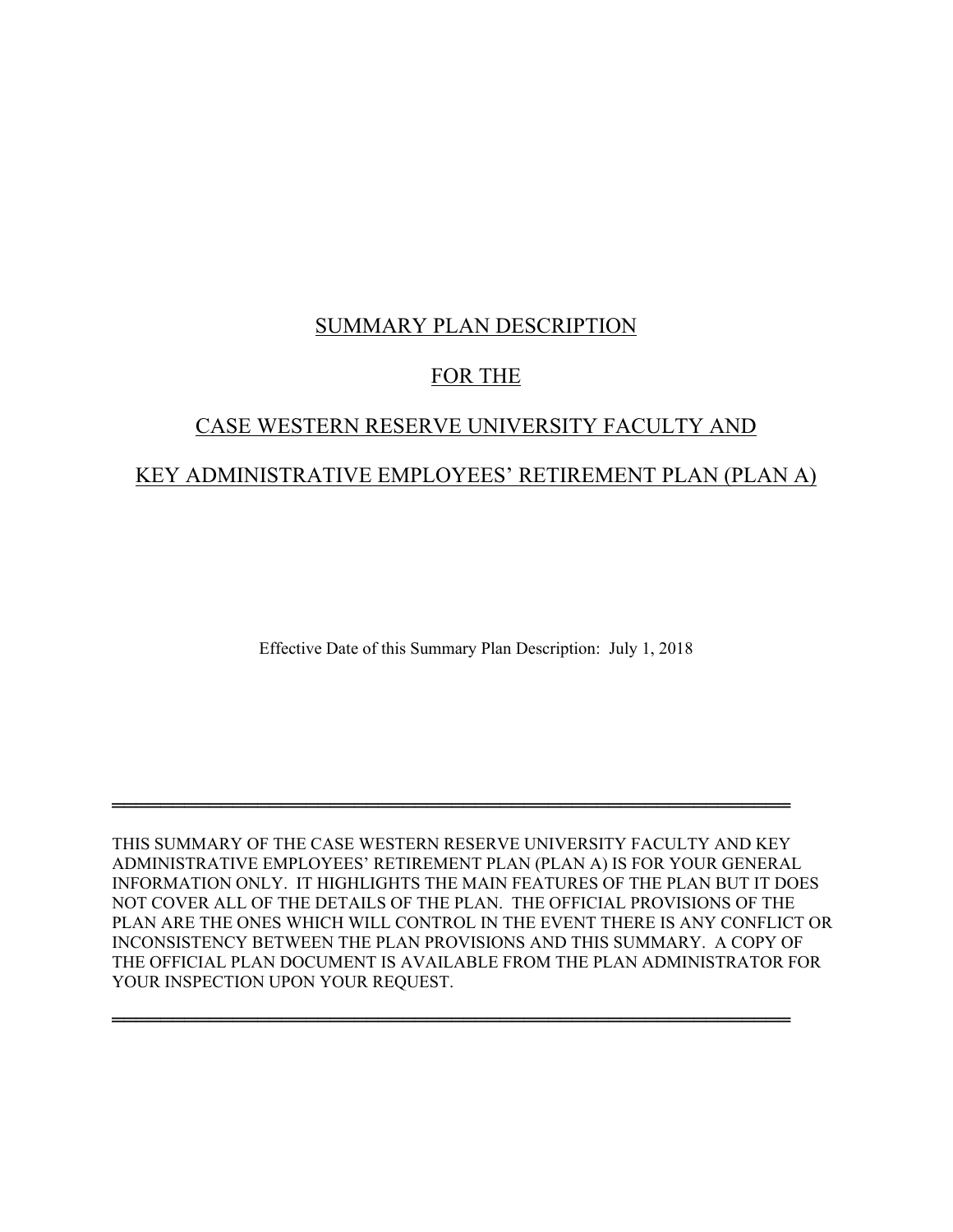# SUMMARY PLAN DESCRIPTION

# FOR THE

# CASE WESTERN RESERVE UNIVERSITY FACULTY AND KEY ADMINISTRATIVE EMPLOYEES' RETIREMENT PLAN (PLAN A)

Effective Date of this Summary Plan Description: July 1, 2018

THIS SUMMARY OF THE CASE WESTERN RESERVE UNIVERSITY FACULTY AND KEY ADMINISTRATIVE EMPLOYEES' RETIREMENT PLAN (PLAN A) IS FOR YOUR GENERAL INFORMATION ONLY. IT HIGHLIGHTS THE MAIN FEATURES OF THE PLAN BUT IT DOES NOT COVER ALL OF THE DETAILS OF THE PLAN. THE OFFICIAL PROVISIONS OF THE PLAN ARE THE ONES WHICH WILL CONTROL IN THE EVENT THERE IS ANY CONFLICT OR INCONSISTENCY BETWEEN THE PLAN PROVISIONS AND THIS SUMMARY. A COPY OF THE OFFICIAL PLAN DOCUMENT IS AVAILABLE FROM THE PLAN ADMINISTRATOR FOR YOUR INSPECTION UPON YOUR REQUEST.

════════════════════════════════════════════════════════

════════════════════════════════════════════════════════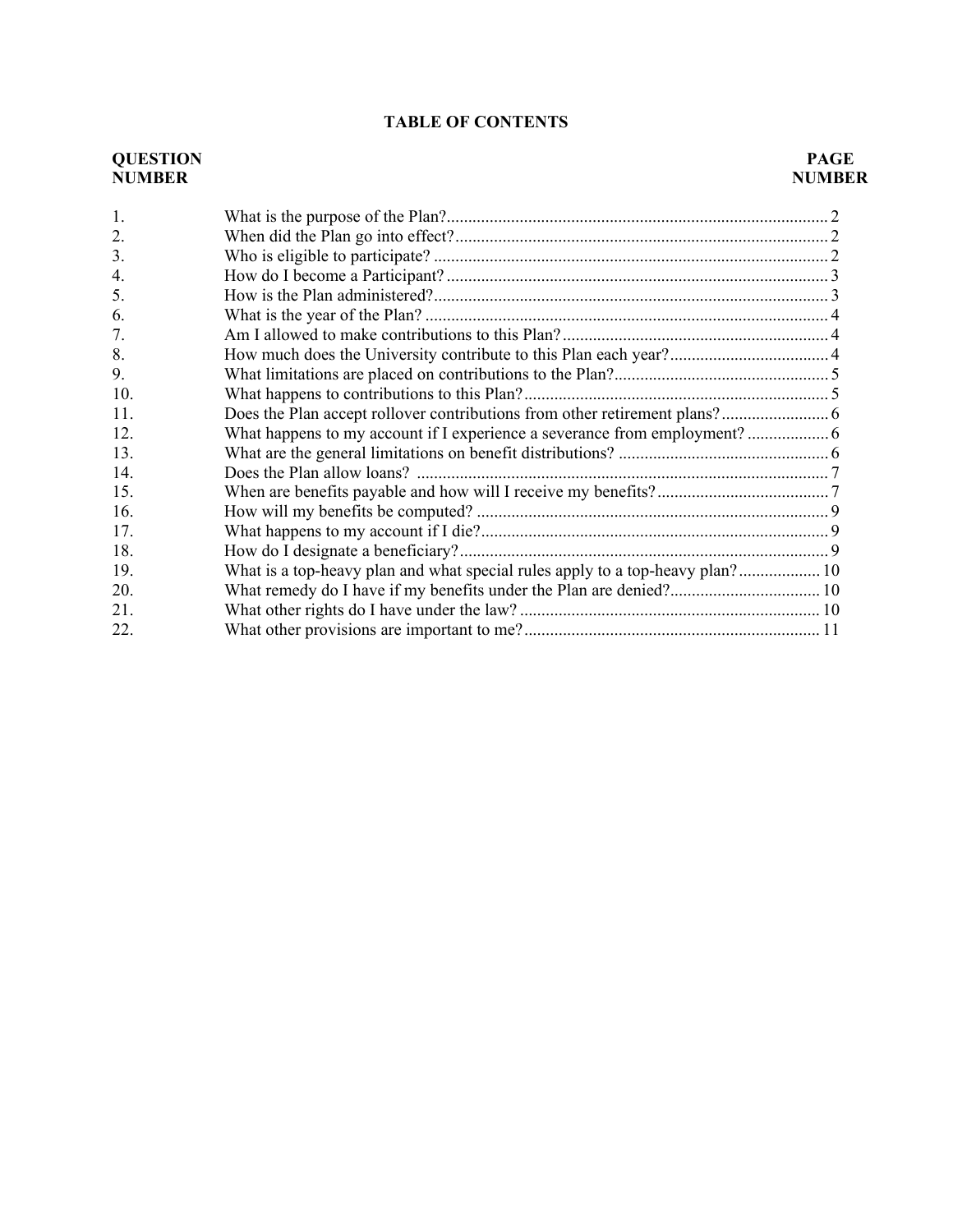### **TABLE OF CONTENTS**

# **QUESTION PAGE NUMBER NUMBER** 1. What is the purpose of the Plan?......................................................................................... 2 2. When did the Plan go into effect?....................................................................................... 2 3. Who is eligible to participate? ............................................................................................ 2 4. How do I become a Participant? ......................................................................................... 3 5. How is the Plan administered?............................................................................................ 3 6. What is the year of the Plan? .............................................................................................. 4 7. Am I allowed to make contributions to this Plan? .............................................................. 4 8. How much does the University contribute to this Plan each year?..................................... 4 9. What limitations are placed on contributions to the Plan?.................................................. 5 10. What happens to contributions to this Plan?....................................................................... 5 11. Does the Plan accept rollover contributions from other retirement plans?......................... 6 12. What happens to my account if I experience a severance from employment? ................... 6 13. What are the general limitations on benefit distributions? ................................................. 6 14. Does the Plan allow loans? ................................................................................................ 7 15. When are benefits payable and how will I receive my benefits?........................................ 7 16. How will my benefits be computed? .................................................................................. 9 17. What happens to my account if I die?................................................................................. 9 18. How do I designate a beneficiary?...................................................................................... 9 19. What is a top-heavy plan and what special rules apply to a top-heavy plan?................... 10 20. What remedy do I have if my benefits under the Plan are denied?................................... 10

21. What other rights do I have under the law? ...................................................................... 10 22. What other provisions are important to me?..................................................................... 11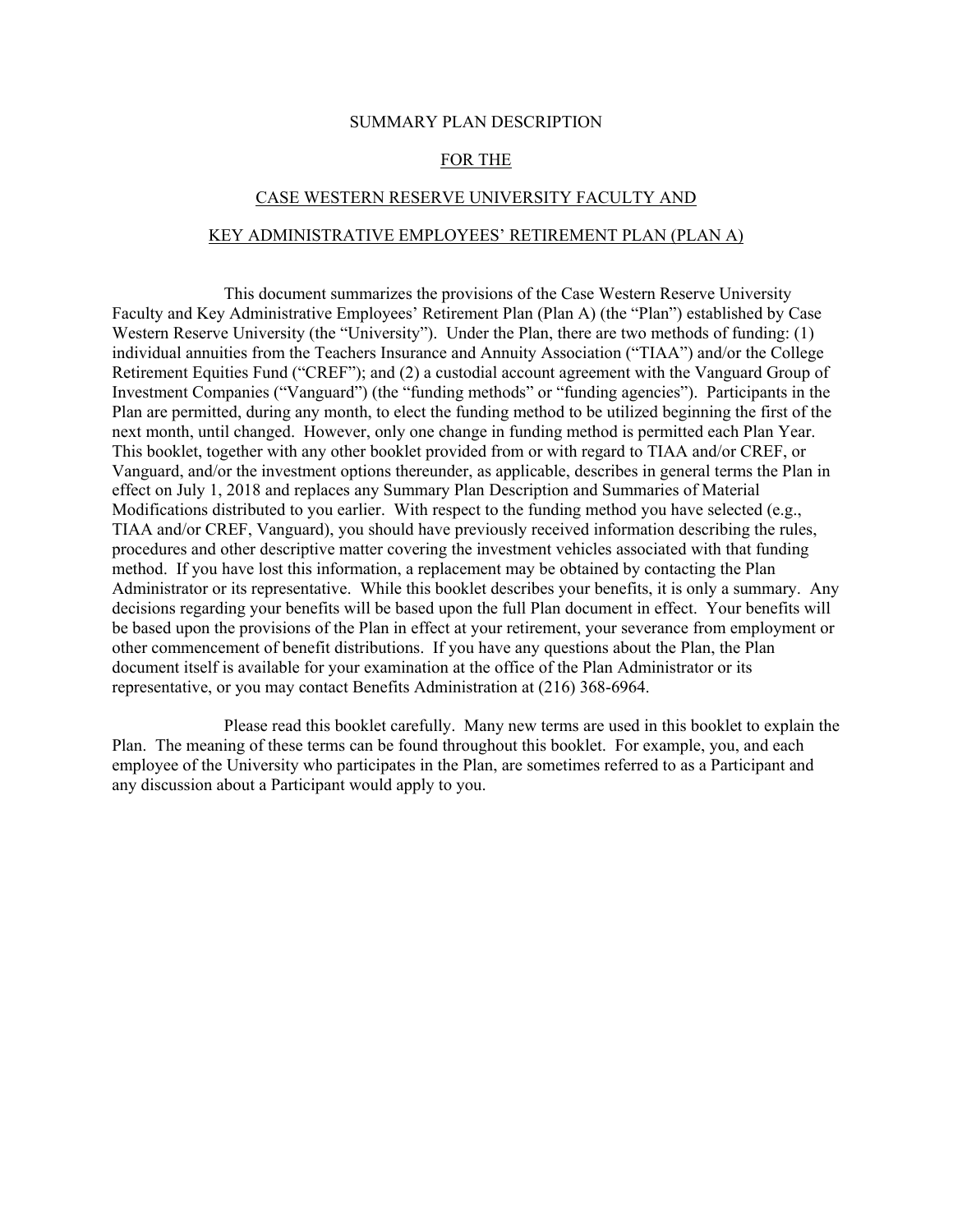#### SUMMARY PLAN DESCRIPTION

#### FOR THE

### CASE WESTERN RESERVE UNIVERSITY FACULTY AND

#### KEY ADMINISTRATIVE EMPLOYEES' RETIREMENT PLAN (PLAN A)

This document summarizes the provisions of the Case Western Reserve University Faculty and Key Administrative Employees' Retirement Plan (Plan A) (the "Plan") established by Case Western Reserve University (the "University"). Under the Plan, there are two methods of funding: (1) individual annuities from the Teachers Insurance and Annuity Association ("TIAA") and/or the College Retirement Equities Fund ("CREF"); and (2) a custodial account agreement with the Vanguard Group of Investment Companies ("Vanguard") (the "funding methods" or "funding agencies"). Participants in the Plan are permitted, during any month, to elect the funding method to be utilized beginning the first of the next month, until changed. However, only one change in funding method is permitted each Plan Year. This booklet, together with any other booklet provided from or with regard to TIAA and/or CREF, or Vanguard, and/or the investment options thereunder, as applicable, describes in general terms the Plan in effect on July 1, 2018 and replaces any Summary Plan Description and Summaries of Material Modifications distributed to you earlier. With respect to the funding method you have selected (e.g., TIAA and/or CREF, Vanguard), you should have previously received information describing the rules, procedures and other descriptive matter covering the investment vehicles associated with that funding method. If you have lost this information, a replacement may be obtained by contacting the Plan Administrator or its representative. While this booklet describes your benefits, it is only a summary. Any decisions regarding your benefits will be based upon the full Plan document in effect. Your benefits will be based upon the provisions of the Plan in effect at your retirement, your severance from employment or other commencement of benefit distributions. If you have any questions about the Plan, the Plan document itself is available for your examination at the office of the Plan Administrator or its representative, or you may contact Benefits Administration at (216) 368-6964.

Please read this booklet carefully. Many new terms are used in this booklet to explain the Plan. The meaning of these terms can be found throughout this booklet. For example, you, and each employee of the University who participates in the Plan, are sometimes referred to as a Participant and any discussion about a Participant would apply to you.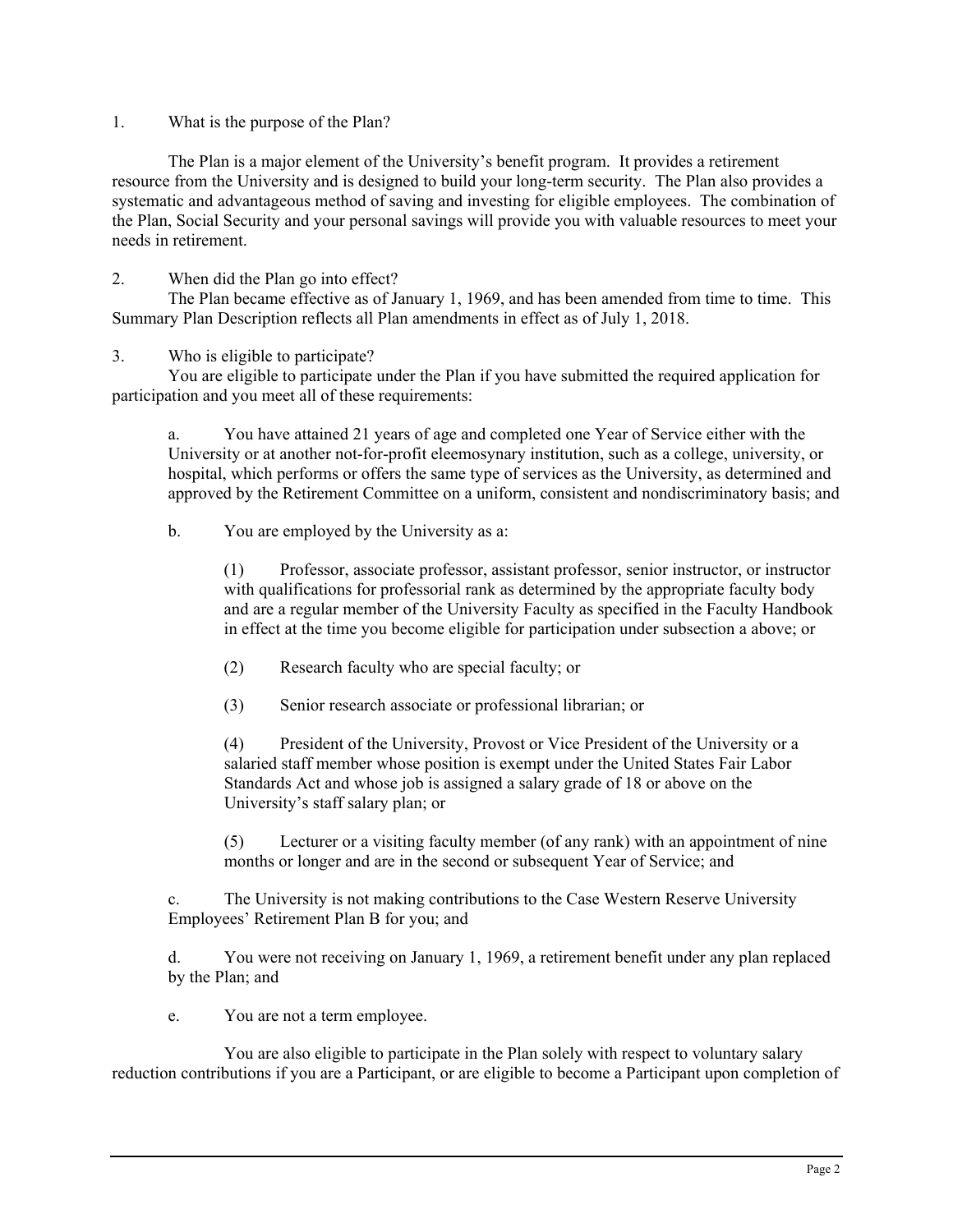1. What is the purpose of the Plan?

The Plan is a major element of the University's benefit program. It provides a retirement resource from the University and is designed to build your long-term security. The Plan also provides a systematic and advantageous method of saving and investing for eligible employees. The combination of the Plan, Social Security and your personal savings will provide you with valuable resources to meet your needs in retirement.

2. When did the Plan go into effect?

The Plan became effective as of January 1, 1969, and has been amended from time to time. This Summary Plan Description reflects all Plan amendments in effect as of July 1, 2018.

# 3. Who is eligible to participate?

You are eligible to participate under the Plan if you have submitted the required application for participation and you meet all of these requirements:

a. You have attained 21 years of age and completed one Year of Service either with the University or at another not-for-profit eleemosynary institution, such as a college, university, or hospital, which performs or offers the same type of services as the University, as determined and approved by the Retirement Committee on a uniform, consistent and nondiscriminatory basis; and

b. You are employed by the University as a:

(1) Professor, associate professor, assistant professor, senior instructor, or instructor with qualifications for professorial rank as determined by the appropriate faculty body and are a regular member of the University Faculty as specified in the Faculty Handbook in effect at the time you become eligible for participation under subsection a above; or

(2) Research faculty who are special faculty; or

(3) Senior research associate or professional librarian; or

(4) President of the University, Provost or Vice President of the University or a salaried staff member whose position is exempt under the United States Fair Labor Standards Act and whose job is assigned a salary grade of 18 or above on the University's staff salary plan; or

(5) Lecturer or a visiting faculty member (of any rank) with an appointment of nine months or longer and are in the second or subsequent Year of Service; and

c. The University is not making contributions to the Case Western Reserve University Employees' Retirement Plan B for you; and

d. You were not receiving on January 1, 1969, a retirement benefit under any plan replaced by the Plan; and

e. You are not a term employee.

You are also eligible to participate in the Plan solely with respect to voluntary salary reduction contributions if you are a Participant, or are eligible to become a Participant upon completion of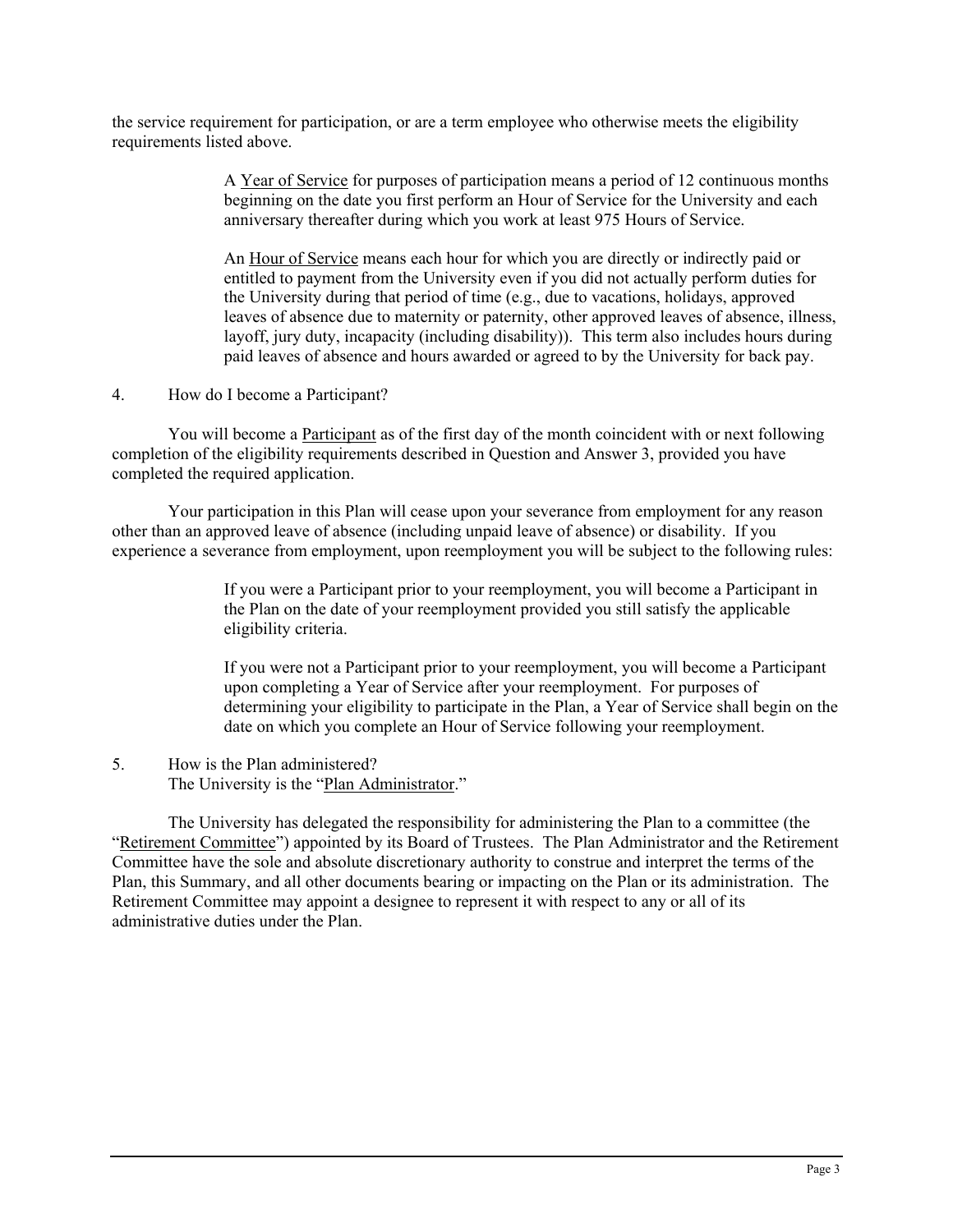the service requirement for participation, or are a term employee who otherwise meets the eligibility requirements listed above.

> A Year of Service for purposes of participation means a period of 12 continuous months beginning on the date you first perform an Hour of Service for the University and each anniversary thereafter during which you work at least 975 Hours of Service.

An Hour of Service means each hour for which you are directly or indirectly paid or entitled to payment from the University even if you did not actually perform duties for the University during that period of time (e.g., due to vacations, holidays, approved leaves of absence due to maternity or paternity, other approved leaves of absence, illness, layoff, jury duty, incapacity (including disability)). This term also includes hours during paid leaves of absence and hours awarded or agreed to by the University for back pay.

4. How do I become a Participant?

You will become a Participant as of the first day of the month coincident with or next following completion of the eligibility requirements described in Question and Answer 3, provided you have completed the required application.

Your participation in this Plan will cease upon your severance from employment for any reason other than an approved leave of absence (including unpaid leave of absence) or disability. If you experience a severance from employment, upon reemployment you will be subject to the following rules:

> If you were a Participant prior to your reemployment, you will become a Participant in the Plan on the date of your reemployment provided you still satisfy the applicable eligibility criteria.

If you were not a Participant prior to your reemployment, you will become a Participant upon completing a Year of Service after your reemployment. For purposes of determining your eligibility to participate in the Plan, a Year of Service shall begin on the date on which you complete an Hour of Service following your reemployment.

## 5. How is the Plan administered? The University is the "Plan Administrator."

The University has delegated the responsibility for administering the Plan to a committee (the "Retirement Committee") appointed by its Board of Trustees. The Plan Administrator and the Retirement Committee have the sole and absolute discretionary authority to construe and interpret the terms of the Plan, this Summary, and all other documents bearing or impacting on the Plan or its administration. The Retirement Committee may appoint a designee to represent it with respect to any or all of its administrative duties under the Plan.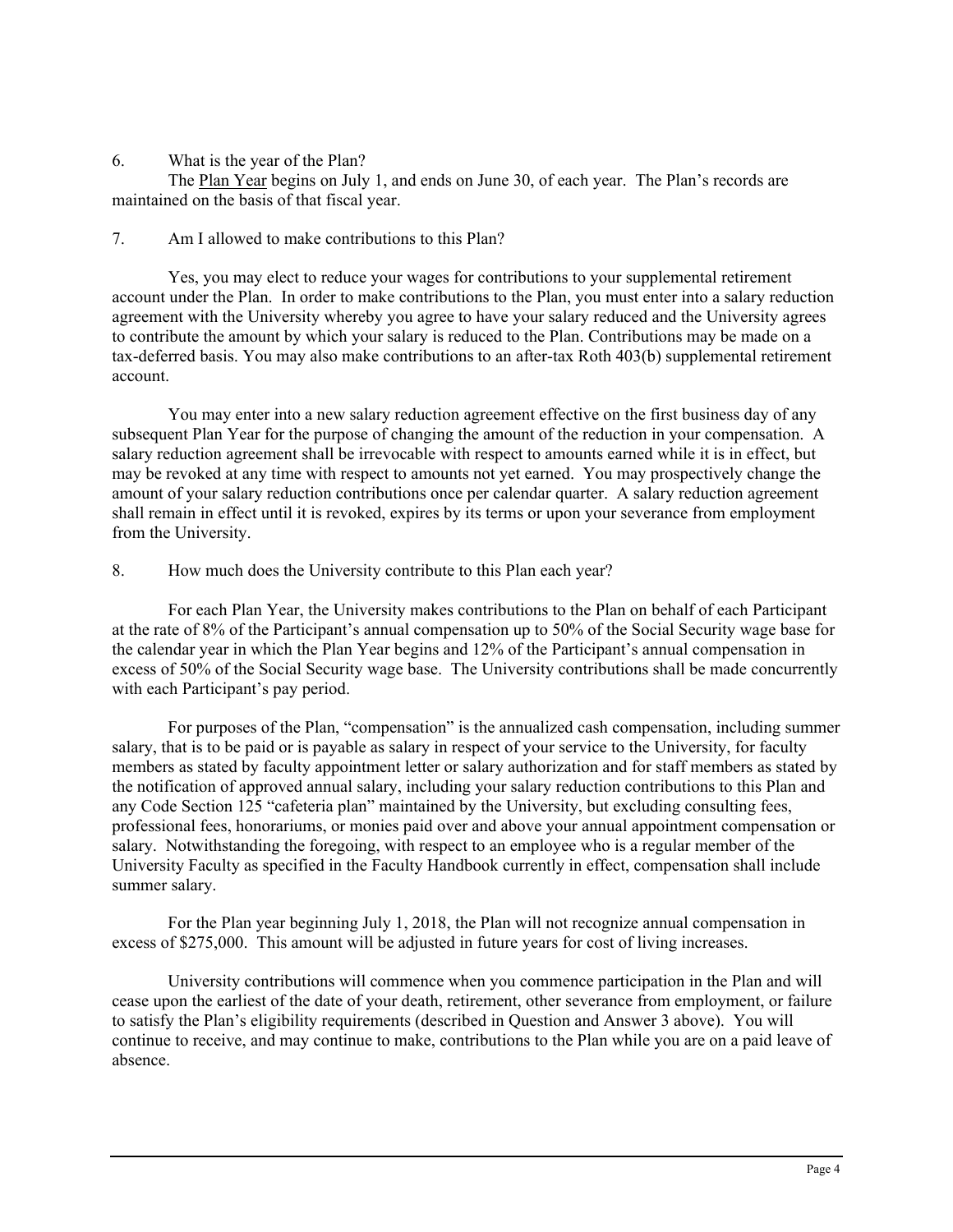6. What is the year of the Plan?

The Plan Year begins on July 1, and ends on June 30, of each year. The Plan's records are maintained on the basis of that fiscal year.

7. Am I allowed to make contributions to this Plan?

Yes, you may elect to reduce your wages for contributions to your supplemental retirement account under the Plan. In order to make contributions to the Plan, you must enter into a salary reduction agreement with the University whereby you agree to have your salary reduced and the University agrees to contribute the amount by which your salary is reduced to the Plan. Contributions may be made on a tax-deferred basis. You may also make contributions to an after-tax Roth 403(b) supplemental retirement account.

You may enter into a new salary reduction agreement effective on the first business day of any subsequent Plan Year for the purpose of changing the amount of the reduction in your compensation. A salary reduction agreement shall be irrevocable with respect to amounts earned while it is in effect, but may be revoked at any time with respect to amounts not yet earned. You may prospectively change the amount of your salary reduction contributions once per calendar quarter. A salary reduction agreement shall remain in effect until it is revoked, expires by its terms or upon your severance from employment from the University.

8. How much does the University contribute to this Plan each year?

For each Plan Year, the University makes contributions to the Plan on behalf of each Participant at the rate of 8% of the Participant's annual compensation up to 50% of the Social Security wage base for the calendar year in which the Plan Year begins and 12% of the Participant's annual compensation in excess of 50% of the Social Security wage base. The University contributions shall be made concurrently with each Participant's pay period.

For purposes of the Plan, "compensation" is the annualized cash compensation, including summer salary, that is to be paid or is payable as salary in respect of your service to the University, for faculty members as stated by faculty appointment letter or salary authorization and for staff members as stated by the notification of approved annual salary, including your salary reduction contributions to this Plan and any Code Section 125 "cafeteria plan" maintained by the University, but excluding consulting fees, professional fees, honorariums, or monies paid over and above your annual appointment compensation or salary. Notwithstanding the foregoing, with respect to an employee who is a regular member of the University Faculty as specified in the Faculty Handbook currently in effect, compensation shall include summer salary.

For the Plan year beginning July 1, 2018, the Plan will not recognize annual compensation in excess of \$275,000. This amount will be adjusted in future years for cost of living increases.

University contributions will commence when you commence participation in the Plan and will cease upon the earliest of the date of your death, retirement, other severance from employment, or failure to satisfy the Plan's eligibility requirements (described in Question and Answer 3 above). You will continue to receive, and may continue to make, contributions to the Plan while you are on a paid leave of absence.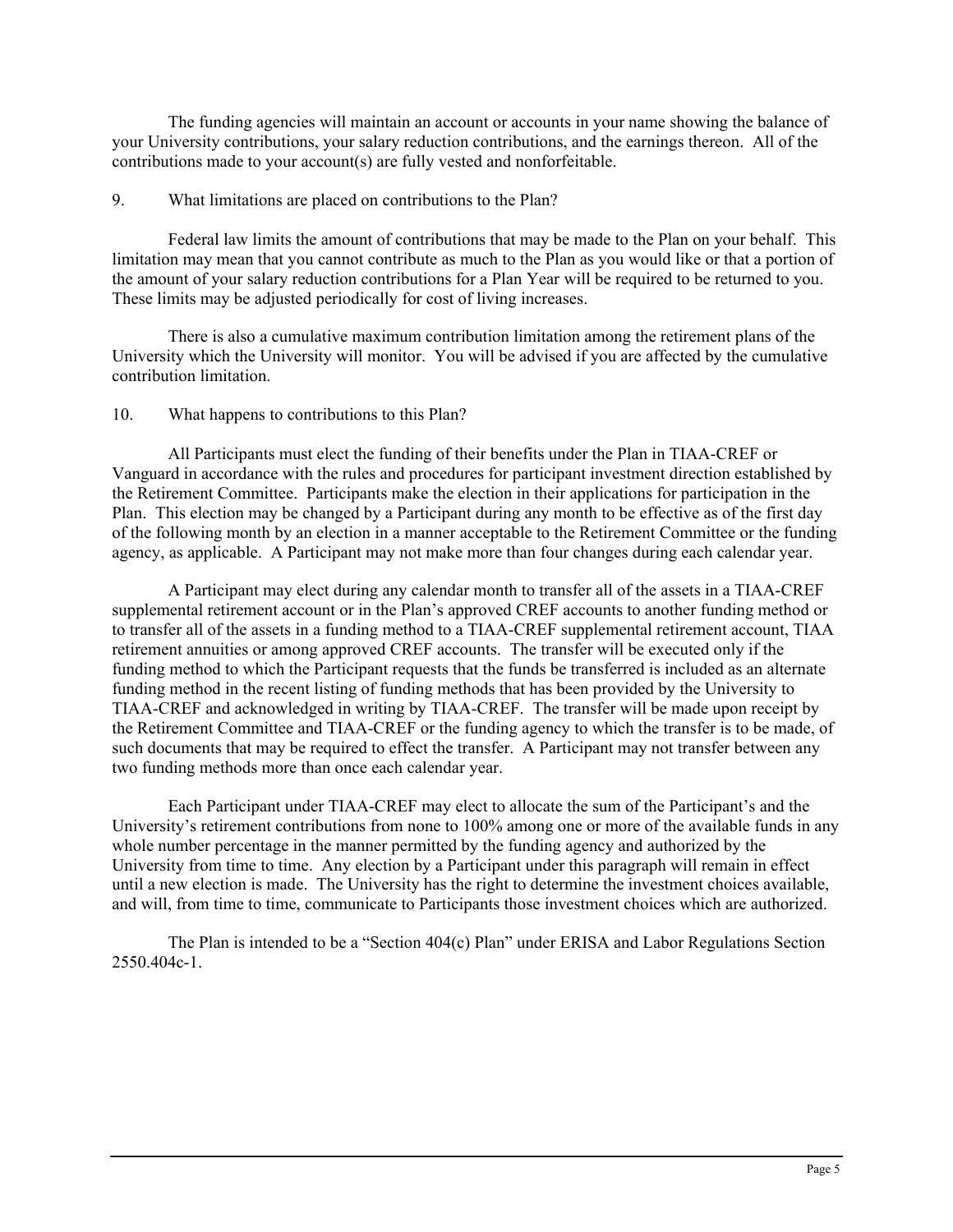The funding agencies will maintain an account or accounts in your name showing the balance of your University contributions, your salary reduction contributions, and the earnings thereon. All of the contributions made to your account(s) are fully vested and nonforfeitable.

## 9. What limitations are placed on contributions to the Plan?

Federal law limits the amount of contributions that may be made to the Plan on your behalf. This limitation may mean that you cannot contribute as much to the Plan as you would like or that a portion of the amount of your salary reduction contributions for a Plan Year will be required to be returned to you. These limits may be adjusted periodically for cost of living increases.

There is also a cumulative maximum contribution limitation among the retirement plans of the University which the University will monitor. You will be advised if you are affected by the cumulative contribution limitation.

## 10. What happens to contributions to this Plan?

All Participants must elect the funding of their benefits under the Plan in TIAA-CREF or Vanguard in accordance with the rules and procedures for participant investment direction established by the Retirement Committee. Participants make the election in their applications for participation in the Plan. This election may be changed by a Participant during any month to be effective as of the first day of the following month by an election in a manner acceptable to the Retirement Committee or the funding agency, as applicable. A Participant may not make more than four changes during each calendar year.

A Participant may elect during any calendar month to transfer all of the assets in a TIAA-CREF supplemental retirement account or in the Plan's approved CREF accounts to another funding method or to transfer all of the assets in a funding method to a TIAA-CREF supplemental retirement account, TIAA retirement annuities or among approved CREF accounts. The transfer will be executed only if the funding method to which the Participant requests that the funds be transferred is included as an alternate funding method in the recent listing of funding methods that has been provided by the University to TIAA-CREF and acknowledged in writing by TIAA-CREF. The transfer will be made upon receipt by the Retirement Committee and TIAA-CREF or the funding agency to which the transfer is to be made, of such documents that may be required to effect the transfer. A Participant may not transfer between any two funding methods more than once each calendar year.

Each Participant under TIAA-CREF may elect to allocate the sum of the Participant's and the University's retirement contributions from none to 100% among one or more of the available funds in any whole number percentage in the manner permitted by the funding agency and authorized by the University from time to time. Any election by a Participant under this paragraph will remain in effect until a new election is made. The University has the right to determine the investment choices available, and will, from time to time, communicate to Participants those investment choices which are authorized.

The Plan is intended to be a "Section 404(c) Plan" under ERISA and Labor Regulations Section 2550.404c-1.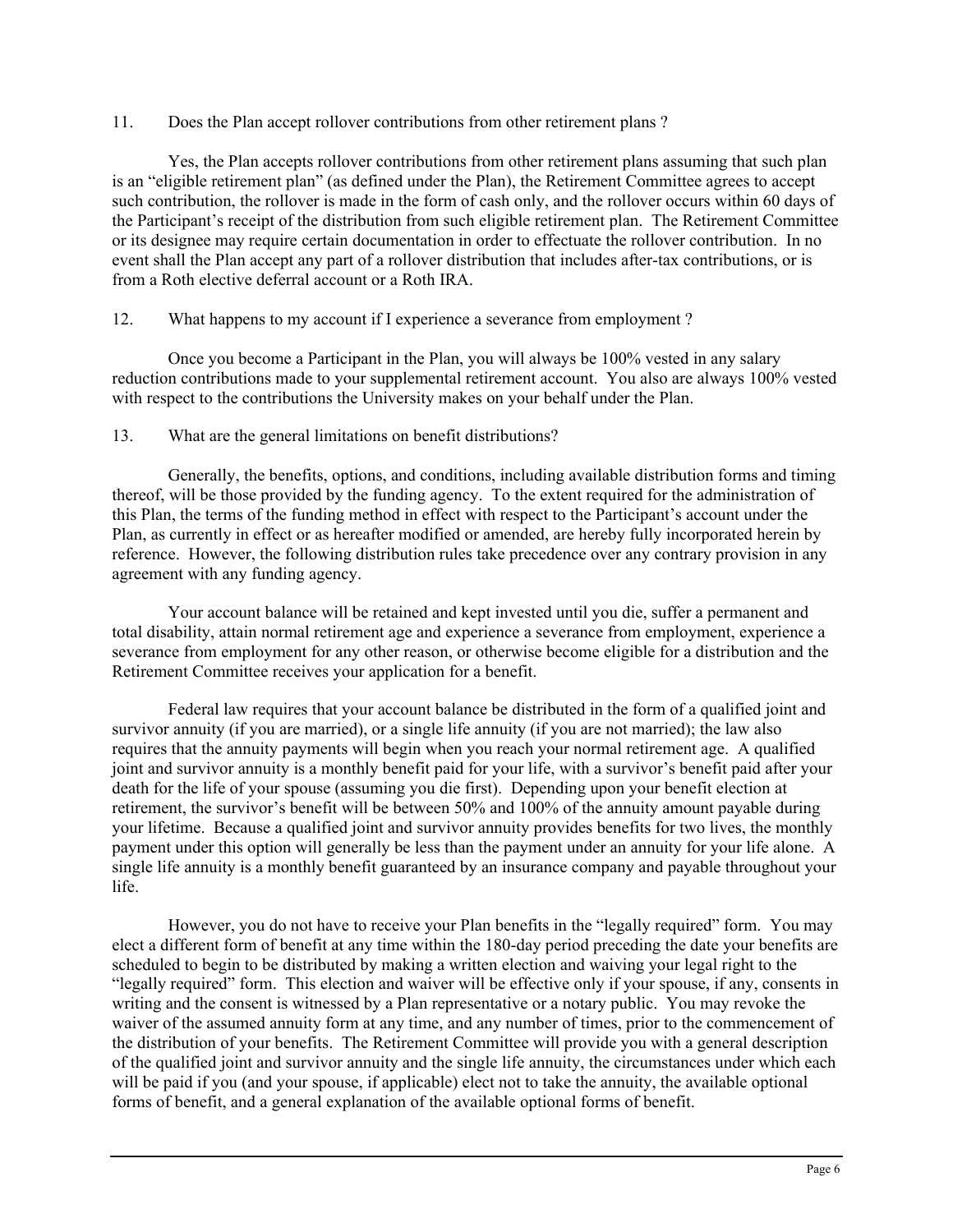11. Does the Plan accept rollover contributions from other retirement plans ?

Yes, the Plan accepts rollover contributions from other retirement plans assuming that such plan is an "eligible retirement plan" (as defined under the Plan), the Retirement Committee agrees to accept such contribution, the rollover is made in the form of cash only, and the rollover occurs within 60 days of the Participant's receipt of the distribution from such eligible retirement plan. The Retirement Committee or its designee may require certain documentation in order to effectuate the rollover contribution. In no event shall the Plan accept any part of a rollover distribution that includes after-tax contributions, or is from a Roth elective deferral account or a Roth IRA.

# 12. What happens to my account if I experience a severance from employment ?

Once you become a Participant in the Plan, you will always be 100% vested in any salary reduction contributions made to your supplemental retirement account. You also are always 100% vested with respect to the contributions the University makes on your behalf under the Plan.

# 13. What are the general limitations on benefit distributions?

Generally, the benefits, options, and conditions, including available distribution forms and timing thereof, will be those provided by the funding agency. To the extent required for the administration of this Plan, the terms of the funding method in effect with respect to the Participant's account under the Plan, as currently in effect or as hereafter modified or amended, are hereby fully incorporated herein by reference. However, the following distribution rules take precedence over any contrary provision in any agreement with any funding agency.

Your account balance will be retained and kept invested until you die, suffer a permanent and total disability, attain normal retirement age and experience a severance from employment, experience a severance from employment for any other reason, or otherwise become eligible for a distribution and the Retirement Committee receives your application for a benefit.

Federal law requires that your account balance be distributed in the form of a qualified joint and survivor annuity (if you are married), or a single life annuity (if you are not married); the law also requires that the annuity payments will begin when you reach your normal retirement age. A qualified joint and survivor annuity is a monthly benefit paid for your life, with a survivor's benefit paid after your death for the life of your spouse (assuming you die first). Depending upon your benefit election at retirement, the survivor's benefit will be between 50% and 100% of the annuity amount payable during your lifetime. Because a qualified joint and survivor annuity provides benefits for two lives, the monthly payment under this option will generally be less than the payment under an annuity for your life alone. A single life annuity is a monthly benefit guaranteed by an insurance company and payable throughout your life.

However, you do not have to receive your Plan benefits in the "legally required" form. You may elect a different form of benefit at any time within the 180-day period preceding the date your benefits are scheduled to begin to be distributed by making a written election and waiving your legal right to the "legally required" form. This election and waiver will be effective only if your spouse, if any, consents in writing and the consent is witnessed by a Plan representative or a notary public. You may revoke the waiver of the assumed annuity form at any time, and any number of times, prior to the commencement of the distribution of your benefits. The Retirement Committee will provide you with a general description of the qualified joint and survivor annuity and the single life annuity, the circumstances under which each will be paid if you (and your spouse, if applicable) elect not to take the annuity, the available optional forms of benefit, and a general explanation of the available optional forms of benefit.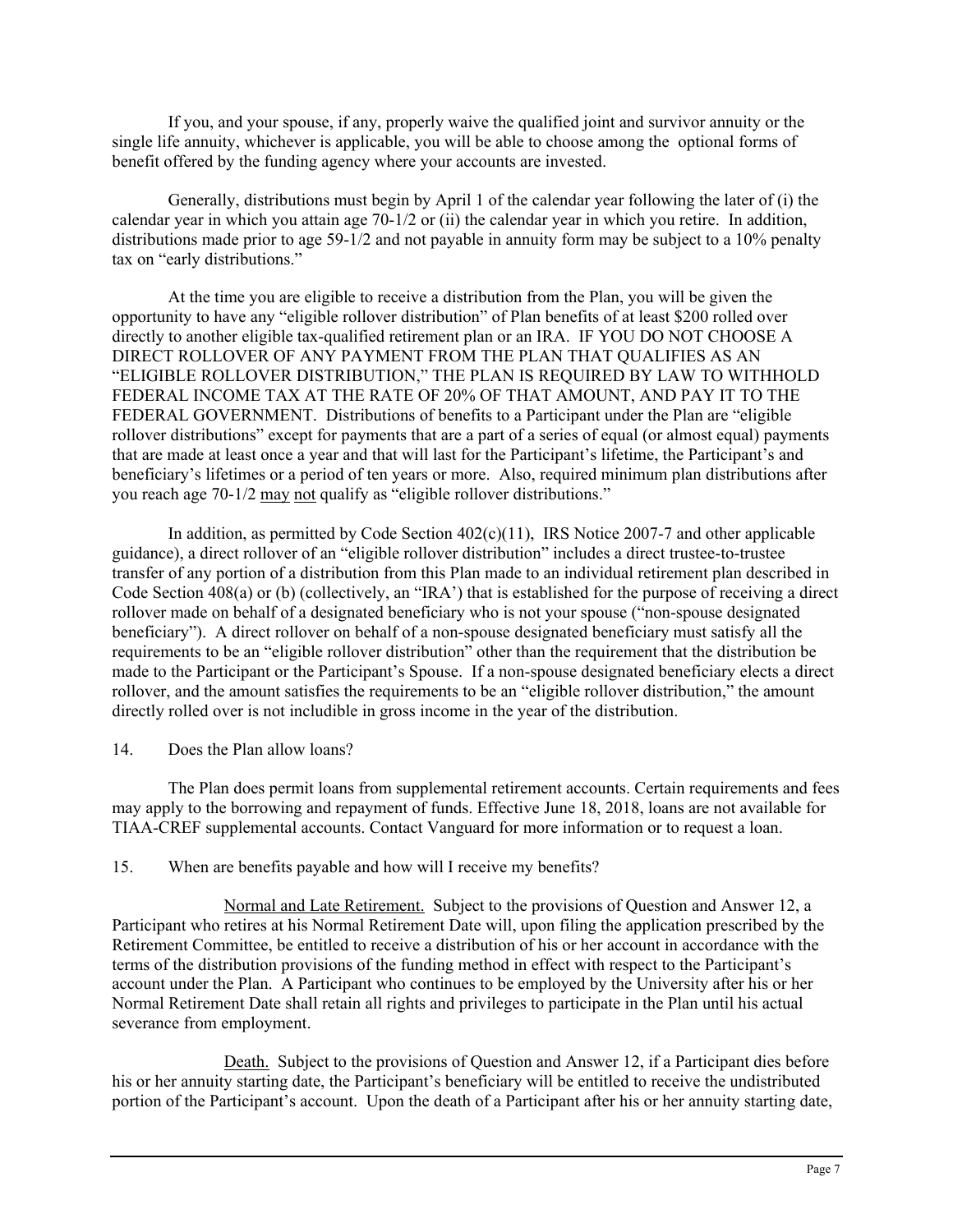If you, and your spouse, if any, properly waive the qualified joint and survivor annuity or the single life annuity, whichever is applicable, you will be able to choose among the optional forms of benefit offered by the funding agency where your accounts are invested.

Generally, distributions must begin by April 1 of the calendar year following the later of (i) the calendar year in which you attain age  $70-1/2$  or (ii) the calendar year in which you retire. In addition, distributions made prior to age 59-1/2 and not payable in annuity form may be subject to a 10% penalty tax on "early distributions."

At the time you are eligible to receive a distribution from the Plan, you will be given the opportunity to have any "eligible rollover distribution" of Plan benefits of at least \$200 rolled over directly to another eligible tax-qualified retirement plan or an IRA. IF YOU DO NOT CHOOSE A DIRECT ROLLOVER OF ANY PAYMENT FROM THE PLAN THAT QUALIFIES AS AN "ELIGIBLE ROLLOVER DISTRIBUTION," THE PLAN IS REQUIRED BY LAW TO WITHHOLD FEDERAL INCOME TAX AT THE RATE OF 20% OF THAT AMOUNT, AND PAY IT TO THE FEDERAL GOVERNMENT. Distributions of benefits to a Participant under the Plan are "eligible rollover distributions" except for payments that are a part of a series of equal (or almost equal) payments that are made at least once a year and that will last for the Participant's lifetime, the Participant's and beneficiary's lifetimes or a period of ten years or more. Also, required minimum plan distributions after you reach age 70-1/2 may not qualify as "eligible rollover distributions."

In addition, as permitted by Code Section  $402(c)(11)$ , IRS Notice 2007-7 and other applicable guidance), a direct rollover of an "eligible rollover distribution" includes a direct trustee-to-trustee transfer of any portion of a distribution from this Plan made to an individual retirement plan described in Code Section 408(a) or (b) (collectively, an "IRA') that is established for the purpose of receiving a direct rollover made on behalf of a designated beneficiary who is not your spouse ("non-spouse designated beneficiary"). A direct rollover on behalf of a non-spouse designated beneficiary must satisfy all the requirements to be an "eligible rollover distribution" other than the requirement that the distribution be made to the Participant or the Participant's Spouse. If a non-spouse designated beneficiary elects a direct rollover, and the amount satisfies the requirements to be an "eligible rollover distribution," the amount directly rolled over is not includible in gross income in the year of the distribution.

14. Does the Plan allow loans?

The Plan does permit loans from supplemental retirement accounts. Certain requirements and fees may apply to the borrowing and repayment of funds. Effective June 18, 2018, loans are not available for TIAA-CREF supplemental accounts. Contact Vanguard for more information or to request a loan.

15. When are benefits payable and how will I receive my benefits?

Normal and Late Retirement. Subject to the provisions of Question and Answer 12, a Participant who retires at his Normal Retirement Date will, upon filing the application prescribed by the Retirement Committee, be entitled to receive a distribution of his or her account in accordance with the terms of the distribution provisions of the funding method in effect with respect to the Participant's account under the Plan. A Participant who continues to be employed by the University after his or her Normal Retirement Date shall retain all rights and privileges to participate in the Plan until his actual severance from employment.

 Death. Subject to the provisions of Question and Answer 12, if a Participant dies before his or her annuity starting date, the Participant's beneficiary will be entitled to receive the undistributed portion of the Participant's account. Upon the death of a Participant after his or her annuity starting date,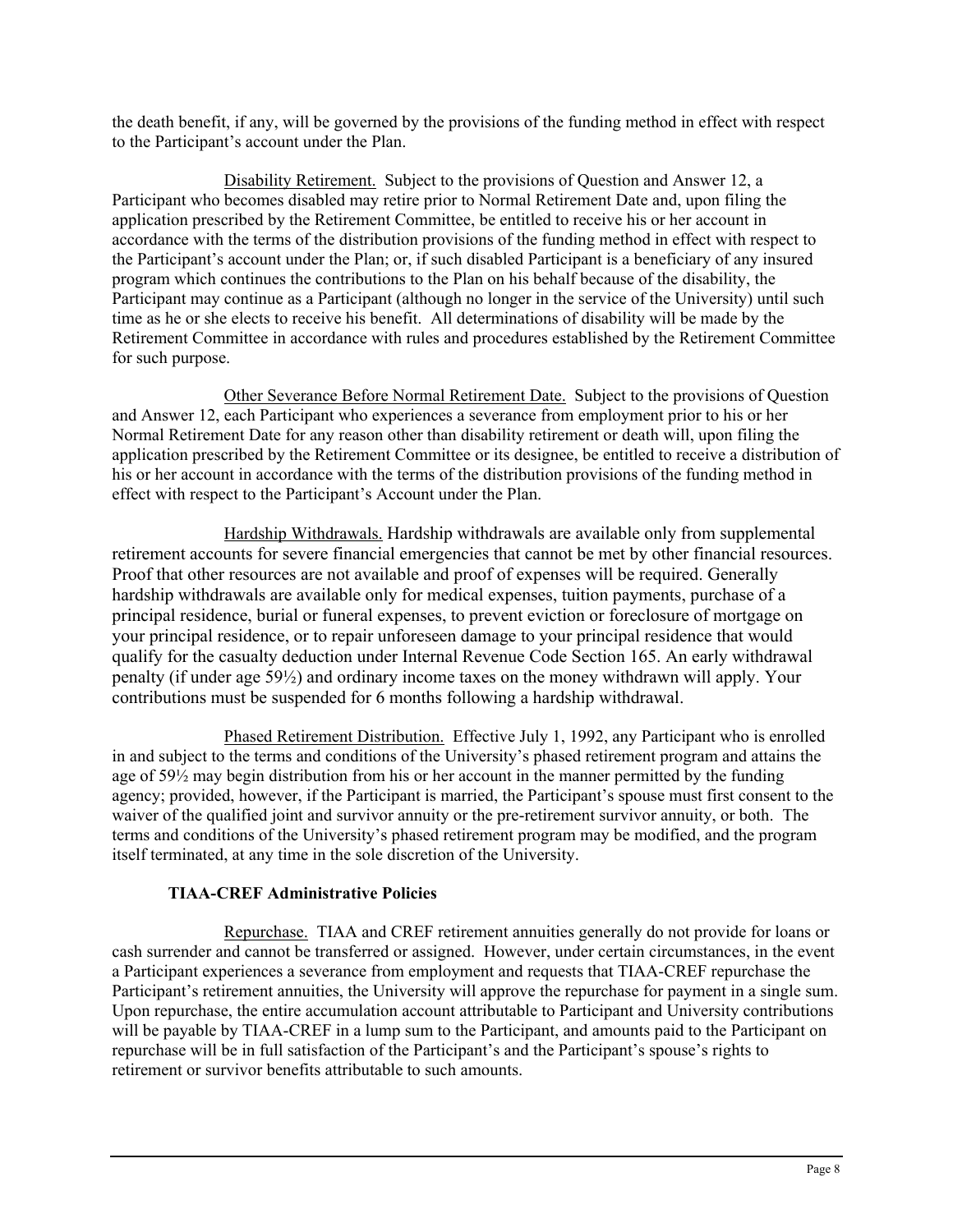the death benefit, if any, will be governed by the provisions of the funding method in effect with respect to the Participant's account under the Plan.

Disability Retirement. Subject to the provisions of Question and Answer 12, a Participant who becomes disabled may retire prior to Normal Retirement Date and, upon filing the application prescribed by the Retirement Committee, be entitled to receive his or her account in accordance with the terms of the distribution provisions of the funding method in effect with respect to the Participant's account under the Plan; or, if such disabled Participant is a beneficiary of any insured program which continues the contributions to the Plan on his behalf because of the disability, the Participant may continue as a Participant (although no longer in the service of the University) until such time as he or she elects to receive his benefit. All determinations of disability will be made by the Retirement Committee in accordance with rules and procedures established by the Retirement Committee for such purpose.

Other Severance Before Normal Retirement Date. Subject to the provisions of Question and Answer 12, each Participant who experiences a severance from employment prior to his or her Normal Retirement Date for any reason other than disability retirement or death will, upon filing the application prescribed by the Retirement Committee or its designee, be entitled to receive a distribution of his or her account in accordance with the terms of the distribution provisions of the funding method in effect with respect to the Participant's Account under the Plan.

Hardship Withdrawals. Hardship withdrawals are available only from supplemental retirement accounts for severe financial emergencies that cannot be met by other financial resources. Proof that other resources are not available and proof of expenses will be required. Generally hardship withdrawals are available only for medical expenses, tuition payments, purchase of a principal residence, burial or funeral expenses, to prevent eviction or foreclosure of mortgage on your principal residence, or to repair unforeseen damage to your principal residence that would qualify for the casualty deduction under Internal Revenue Code Section 165. An early withdrawal penalty (if under age 59½) and ordinary income taxes on the money withdrawn will apply. Your contributions must be suspended for 6 months following a hardship withdrawal.

Phased Retirement Distribution. Effective July 1, 1992, any Participant who is enrolled in and subject to the terms and conditions of the University's phased retirement program and attains the age of 59½ may begin distribution from his or her account in the manner permitted by the funding agency; provided, however, if the Participant is married, the Participant's spouse must first consent to the waiver of the qualified joint and survivor annuity or the pre-retirement survivor annuity, or both. The terms and conditions of the University's phased retirement program may be modified, and the program itself terminated, at any time in the sole discretion of the University.

# **TIAA-CREF Administrative Policies**

Repurchase. TIAA and CREF retirement annuities generally do not provide for loans or cash surrender and cannot be transferred or assigned. However, under certain circumstances, in the event a Participant experiences a severance from employment and requests that TIAA-CREF repurchase the Participant's retirement annuities, the University will approve the repurchase for payment in a single sum. Upon repurchase, the entire accumulation account attributable to Participant and University contributions will be payable by TIAA-CREF in a lump sum to the Participant, and amounts paid to the Participant on repurchase will be in full satisfaction of the Participant's and the Participant's spouse's rights to retirement or survivor benefits attributable to such amounts.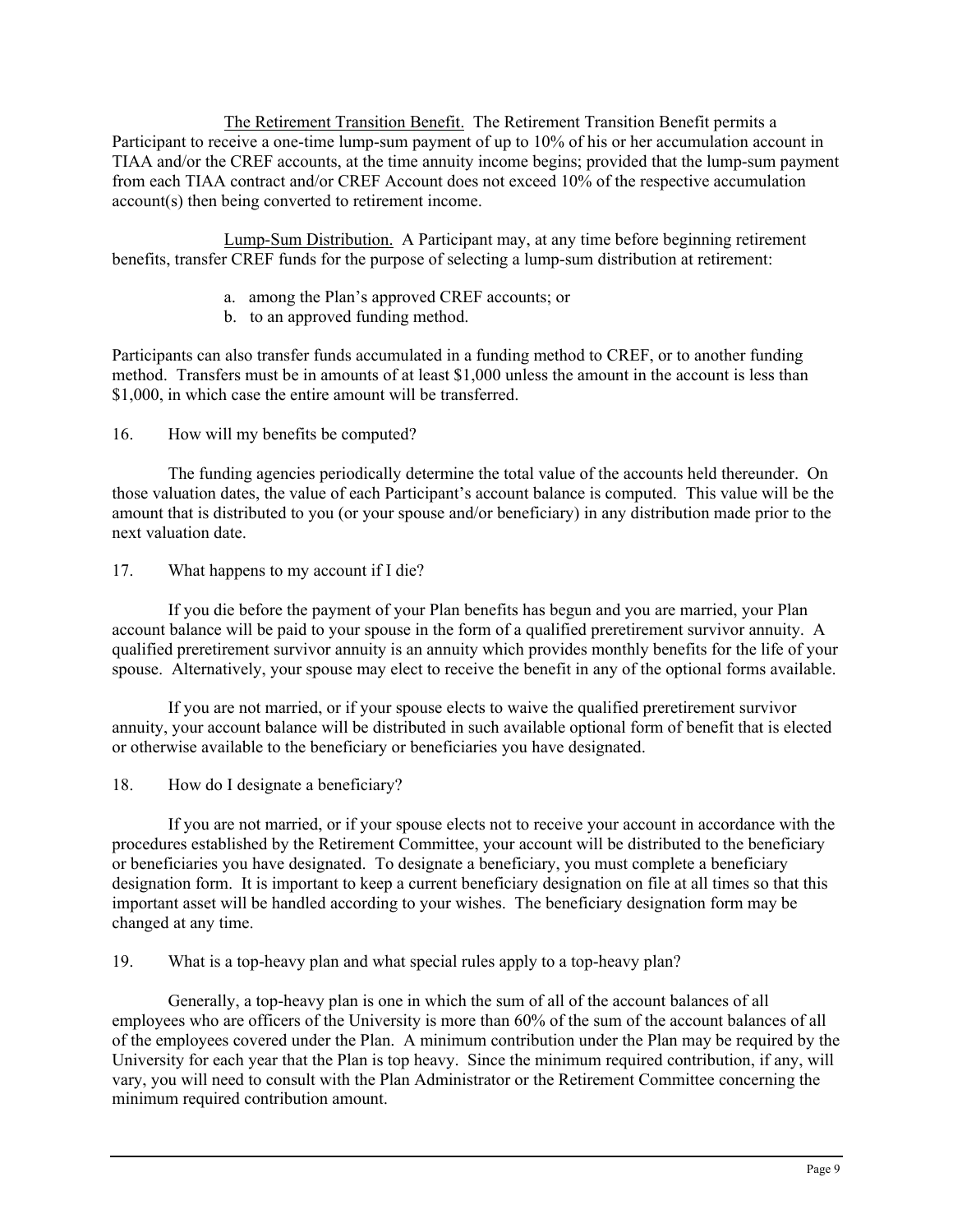The Retirement Transition Benefit. The Retirement Transition Benefit permits a Participant to receive a one-time lump-sum payment of up to 10% of his or her accumulation account in TIAA and/or the CREF accounts, at the time annuity income begins; provided that the lump-sum payment from each TIAA contract and/or CREF Account does not exceed 10% of the respective accumulation account(s) then being converted to retirement income.

Lump-Sum Distribution. A Participant may, at any time before beginning retirement benefits, transfer CREF funds for the purpose of selecting a lump-sum distribution at retirement:

- a. among the Plan's approved CREF accounts; or
- b. to an approved funding method.

Participants can also transfer funds accumulated in a funding method to CREF, or to another funding method. Transfers must be in amounts of at least \$1,000 unless the amount in the account is less than \$1,000, in which case the entire amount will be transferred.

16. How will my benefits be computed?

The funding agencies periodically determine the total value of the accounts held thereunder. On those valuation dates, the value of each Participant's account balance is computed. This value will be the amount that is distributed to you (or your spouse and/or beneficiary) in any distribution made prior to the next valuation date.

17. What happens to my account if I die?

If you die before the payment of your Plan benefits has begun and you are married, your Plan account balance will be paid to your spouse in the form of a qualified preretirement survivor annuity. A qualified preretirement survivor annuity is an annuity which provides monthly benefits for the life of your spouse. Alternatively, your spouse may elect to receive the benefit in any of the optional forms available.

If you are not married, or if your spouse elects to waive the qualified preretirement survivor annuity, your account balance will be distributed in such available optional form of benefit that is elected or otherwise available to the beneficiary or beneficiaries you have designated.

18. How do I designate a beneficiary?

If you are not married, or if your spouse elects not to receive your account in accordance with the procedures established by the Retirement Committee, your account will be distributed to the beneficiary or beneficiaries you have designated. To designate a beneficiary, you must complete a beneficiary designation form. It is important to keep a current beneficiary designation on file at all times so that this important asset will be handled according to your wishes. The beneficiary designation form may be changed at any time.

19. What is a top-heavy plan and what special rules apply to a top-heavy plan?

Generally, a top-heavy plan is one in which the sum of all of the account balances of all employees who are officers of the University is more than 60% of the sum of the account balances of all of the employees covered under the Plan. A minimum contribution under the Plan may be required by the University for each year that the Plan is top heavy. Since the minimum required contribution, if any, will vary, you will need to consult with the Plan Administrator or the Retirement Committee concerning the minimum required contribution amount.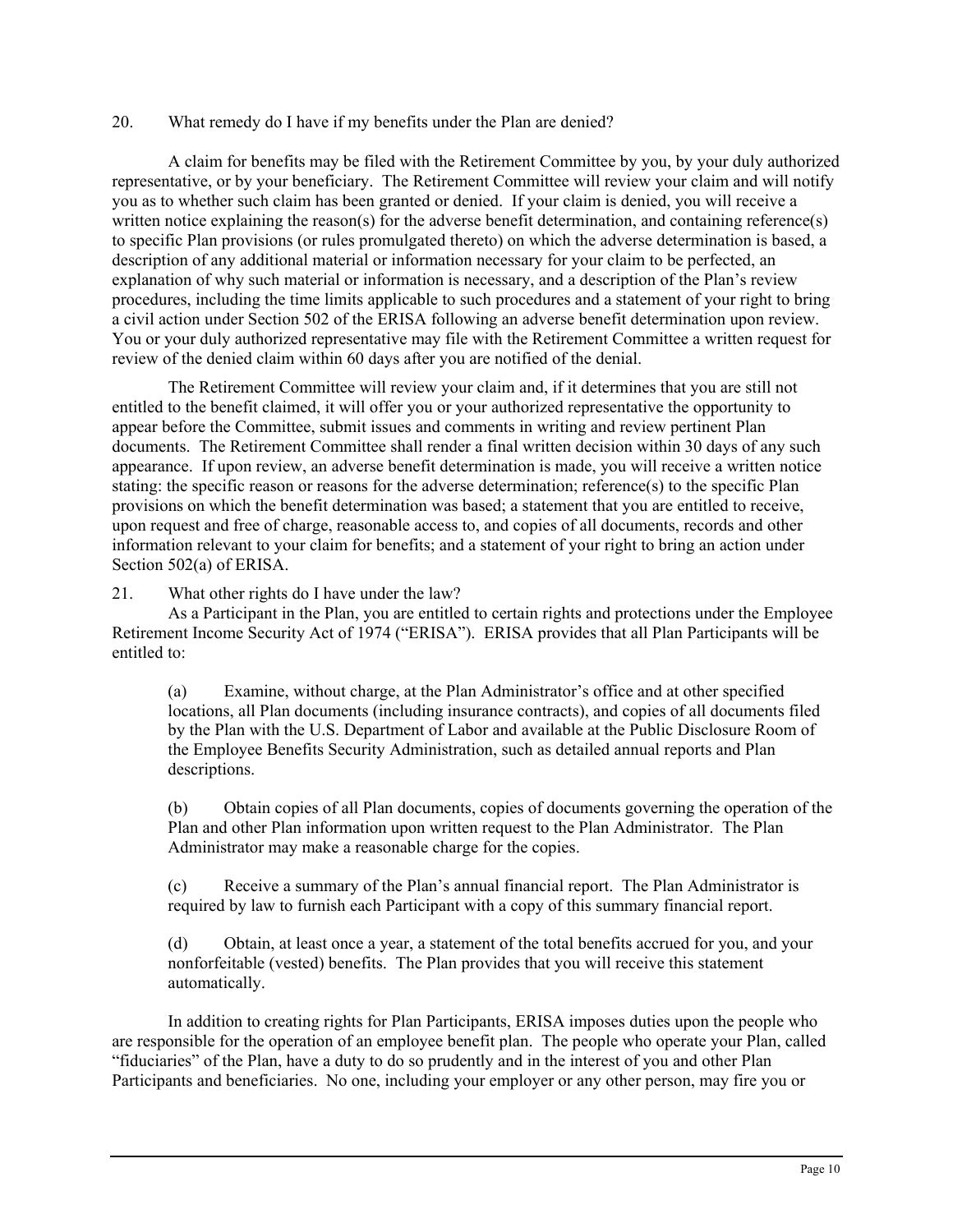### 20. What remedy do I have if my benefits under the Plan are denied?

A claim for benefits may be filed with the Retirement Committee by you, by your duly authorized representative, or by your beneficiary. The Retirement Committee will review your claim and will notify you as to whether such claim has been granted or denied. If your claim is denied, you will receive a written notice explaining the reason(s) for the adverse benefit determination, and containing reference(s) to specific Plan provisions (or rules promulgated thereto) on which the adverse determination is based, a description of any additional material or information necessary for your claim to be perfected, an explanation of why such material or information is necessary, and a description of the Plan's review procedures, including the time limits applicable to such procedures and a statement of your right to bring a civil action under Section 502 of the ERISA following an adverse benefit determination upon review. You or your duly authorized representative may file with the Retirement Committee a written request for review of the denied claim within 60 days after you are notified of the denial.

The Retirement Committee will review your claim and, if it determines that you are still not entitled to the benefit claimed, it will offer you or your authorized representative the opportunity to appear before the Committee, submit issues and comments in writing and review pertinent Plan documents. The Retirement Committee shall render a final written decision within 30 days of any such appearance. If upon review, an adverse benefit determination is made, you will receive a written notice stating: the specific reason or reasons for the adverse determination; reference(s) to the specific Plan provisions on which the benefit determination was based; a statement that you are entitled to receive, upon request and free of charge, reasonable access to, and copies of all documents, records and other information relevant to your claim for benefits; and a statement of your right to bring an action under Section 502(a) of ERISA.

21. What other rights do I have under the law?

As a Participant in the Plan, you are entitled to certain rights and protections under the Employee Retirement Income Security Act of 1974 ("ERISA"). ERISA provides that all Plan Participants will be entitled to:

(a) Examine, without charge, at the Plan Administrator's office and at other specified locations, all Plan documents (including insurance contracts), and copies of all documents filed by the Plan with the U.S. Department of Labor and available at the Public Disclosure Room of the Employee Benefits Security Administration, such as detailed annual reports and Plan descriptions.

(b) Obtain copies of all Plan documents, copies of documents governing the operation of the Plan and other Plan information upon written request to the Plan Administrator. The Plan Administrator may make a reasonable charge for the copies.

(c) Receive a summary of the Plan's annual financial report. The Plan Administrator is required by law to furnish each Participant with a copy of this summary financial report.

(d) Obtain, at least once a year, a statement of the total benefits accrued for you, and your nonforfeitable (vested) benefits. The Plan provides that you will receive this statement automatically.

In addition to creating rights for Plan Participants, ERISA imposes duties upon the people who are responsible for the operation of an employee benefit plan. The people who operate your Plan, called "fiduciaries" of the Plan, have a duty to do so prudently and in the interest of you and other Plan Participants and beneficiaries. No one, including your employer or any other person, may fire you or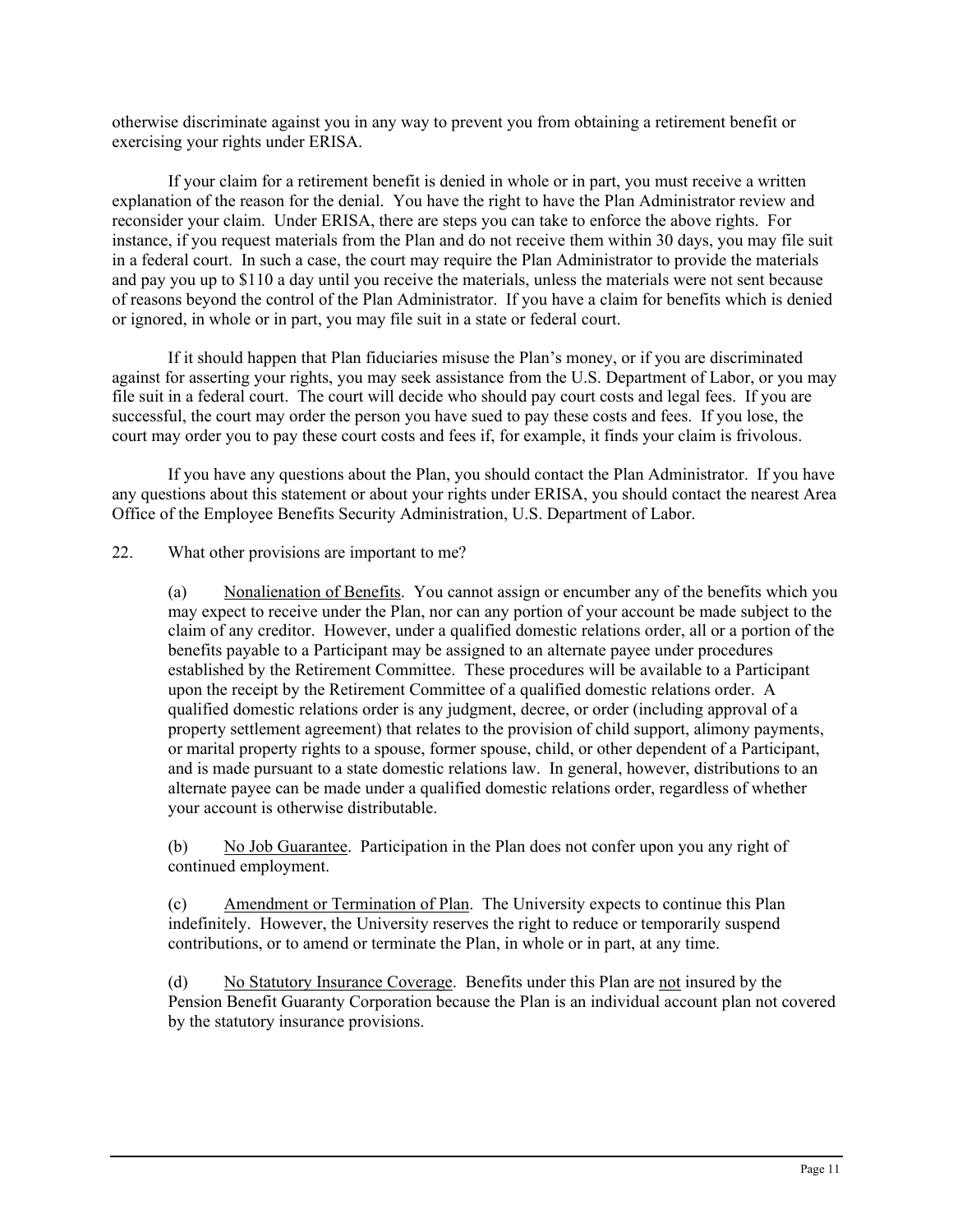otherwise discriminate against you in any way to prevent you from obtaining a retirement benefit or exercising your rights under ERISA.

If your claim for a retirement benefit is denied in whole or in part, you must receive a written explanation of the reason for the denial. You have the right to have the Plan Administrator review and reconsider your claim. Under ERISA, there are steps you can take to enforce the above rights. For instance, if you request materials from the Plan and do not receive them within 30 days, you may file suit in a federal court. In such a case, the court may require the Plan Administrator to provide the materials and pay you up to \$110 a day until you receive the materials, unless the materials were not sent because of reasons beyond the control of the Plan Administrator. If you have a claim for benefits which is denied or ignored, in whole or in part, you may file suit in a state or federal court.

If it should happen that Plan fiduciaries misuse the Plan's money, or if you are discriminated against for asserting your rights, you may seek assistance from the U.S. Department of Labor, or you may file suit in a federal court. The court will decide who should pay court costs and legal fees. If you are successful, the court may order the person you have sued to pay these costs and fees. If you lose, the court may order you to pay these court costs and fees if, for example, it finds your claim is frivolous.

If you have any questions about the Plan, you should contact the Plan Administrator. If you have any questions about this statement or about your rights under ERISA, you should contact the nearest Area Office of the Employee Benefits Security Administration, U.S. Department of Labor.

22. What other provisions are important to me?

(a) Nonalienation of Benefits. You cannot assign or encumber any of the benefits which you may expect to receive under the Plan, nor can any portion of your account be made subject to the claim of any creditor. However, under a qualified domestic relations order, all or a portion of the benefits payable to a Participant may be assigned to an alternate payee under procedures established by the Retirement Committee. These procedures will be available to a Participant upon the receipt by the Retirement Committee of a qualified domestic relations order. A qualified domestic relations order is any judgment, decree, or order (including approval of a property settlement agreement) that relates to the provision of child support, alimony payments, or marital property rights to a spouse, former spouse, child, or other dependent of a Participant, and is made pursuant to a state domestic relations law. In general, however, distributions to an alternate payee can be made under a qualified domestic relations order, regardless of whether your account is otherwise distributable.

(b) No Job Guarantee. Participation in the Plan does not confer upon you any right of continued employment.

(c) Amendment or Termination of Plan. The University expects to continue this Plan indefinitely. However, the University reserves the right to reduce or temporarily suspend contributions, or to amend or terminate the Plan, in whole or in part, at any time.

(d) No Statutory Insurance Coverage. Benefits under this Plan are not insured by the Pension Benefit Guaranty Corporation because the Plan is an individual account plan not covered by the statutory insurance provisions.